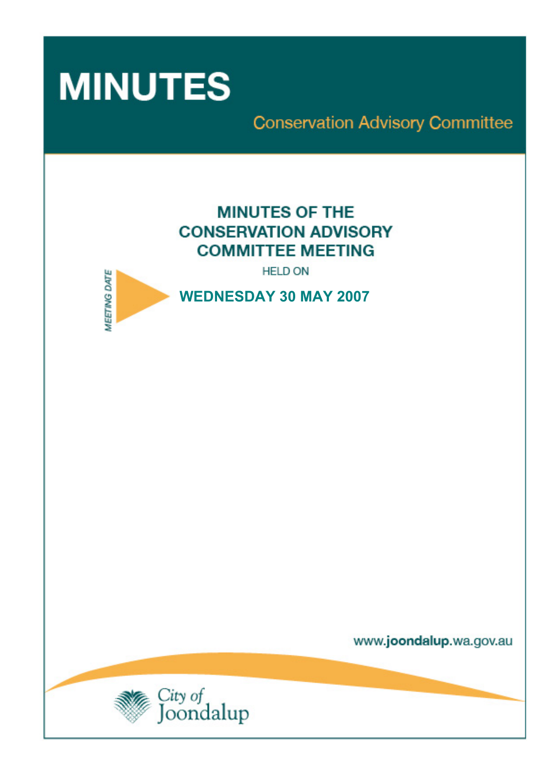

**Conservation Advisory Committee** 

# **MINUTES OF THE CONSERVATION ADVISORY COMMITTEE MEETING**

**HELD ON** 



www.joondalup.wa.gov.au

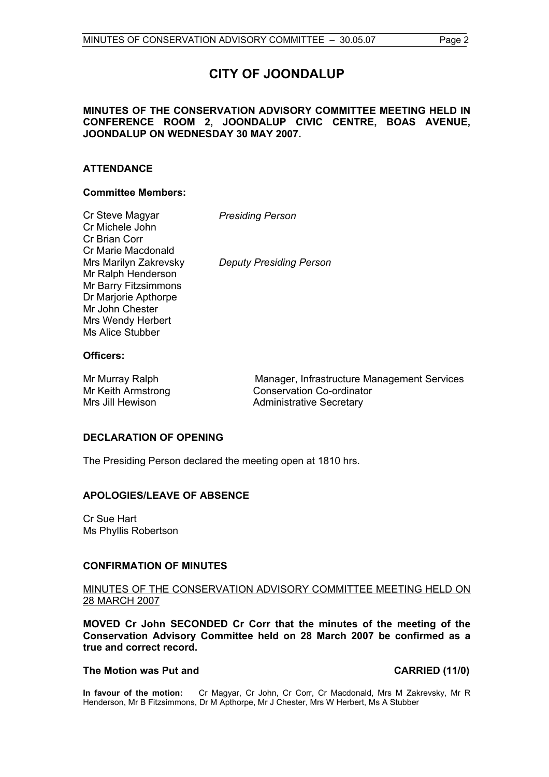# **CITY OF JOONDALUP**

#### **MINUTES OF THE CONSERVATION ADVISORY COMMITTEE MEETING HELD IN CONFERENCE ROOM 2, JOONDALUP CIVIC CENTRE, BOAS AVENUE, JOONDALUP ON WEDNESDAY 30 MAY 2007.**

### **ATTENDANCE**

### **Committee Members:**

| Cr Steve Magyar         |  |
|-------------------------|--|
| Cr Michele John         |  |
| Cr Brian Corr           |  |
| Cr Marie Macdonald      |  |
| Mrs Marilyn Zakrevsky   |  |
| Mr Ralph Henderson      |  |
| Mr Barry Fitzsimmons    |  |
| Dr Marjorie Apthorpe    |  |
| Mr John Chester         |  |
| Mrs Wendy Herbert       |  |
| <b>Ms Alice Stubber</b> |  |

**Deputy Presiding Person** 

**Presiding Person** 

#### **Officers:**

Mr Murray Ralph Manager, Infrastructure Management Services Mr Keith Armstrong Conservation Co-ordinator Mrs Jill Hewison **Administrative Secretary** 

### **DECLARATION OF OPENING**

The Presiding Person declared the meeting open at 1810 hrs.

### **APOLOGIES/LEAVE OF ABSENCE**

Cr Sue Hart Ms Phyllis Robertson

### **CONFIRMATION OF MINUTES**

#### MINUTES OF THE CONSERVATION ADVISORY COMMITTEE MEETING HELD ON 28 MARCH 2007

**MOVED Cr John SECONDED Cr Corr that the minutes of the meeting of the Conservation Advisory Committee held on 28 March 2007 be confirmed as a true and correct record.** 

#### The Motion was Put and **CARRIED** (11/0)

**In favour of the motion:** Cr Magyar, Cr John, Cr Corr, Cr Macdonald, Mrs M Zakrevsky, Mr R Henderson, Mr B Fitzsimmons, Dr M Apthorpe, Mr J Chester, Mrs W Herbert, Ms A Stubber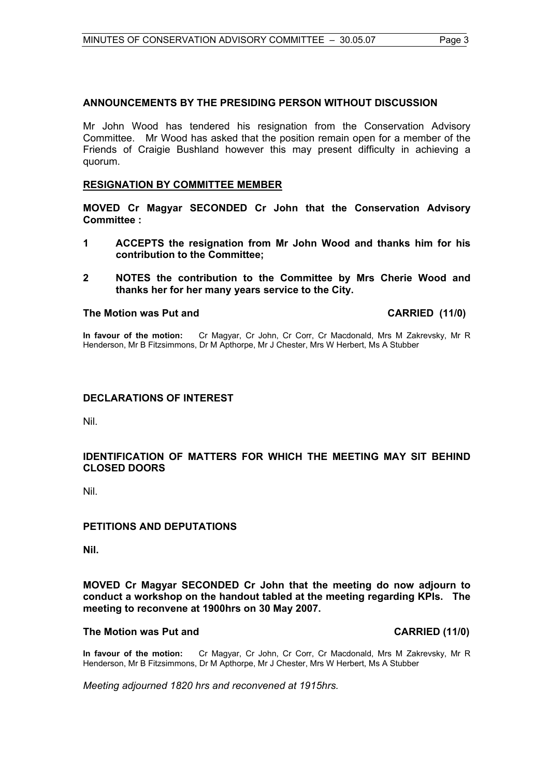#### **ANNOUNCEMENTS BY THE PRESIDING PERSON WITHOUT DISCUSSION**

Mr John Wood has tendered his resignation from the Conservation Advisory Committee. Mr Wood has asked that the position remain open for a member of the Friends of Craigie Bushland however this may present difficulty in achieving a quorum.

#### **RESIGNATION BY COMMITTEE MEMBER**

**MOVED Cr Magyar SECONDED Cr John that the Conservation Advisory Committee :** 

- **1 ACCEPTS the resignation from Mr John Wood and thanks him for his contribution to the Committee;**
- **2 NOTES the contribution to the Committee by Mrs Cherie Wood and thanks her for her many years service to the City.**

#### The Motion was Put and **CARRIED** (11/0)

**In favour of the motion:** Cr Magyar, Cr John, Cr Corr, Cr Macdonald, Mrs M Zakrevsky, Mr R Henderson, Mr B Fitzsimmons, Dr M Apthorpe, Mr J Chester, Mrs W Herbert, Ms A Stubber

#### **DECLARATIONS OF INTEREST**

Nil.

### **IDENTIFICATION OF MATTERS FOR WHICH THE MEETING MAY SIT BEHIND CLOSED DOORS**

Nil.

### **PETITIONS AND DEPUTATIONS**

**Nil.** 

#### **MOVED Cr Magyar SECONDED Cr John that the meeting do now adjourn to conduct a workshop on the handout tabled at the meeting regarding KPIs. The meeting to reconvene at 1900hrs on 30 May 2007.**

#### **The Motion was Put and CARRIED (11/0)**

**In favour of the motion:** Cr Magyar, Cr John, Cr Corr, Cr Macdonald, Mrs M Zakrevsky, Mr R Henderson, Mr B Fitzsimmons, Dr M Apthorpe, Mr J Chester, Mrs W Herbert, Ms A Stubber

*Meeting adjourned 1820 hrs and reconvened at 1915hrs.*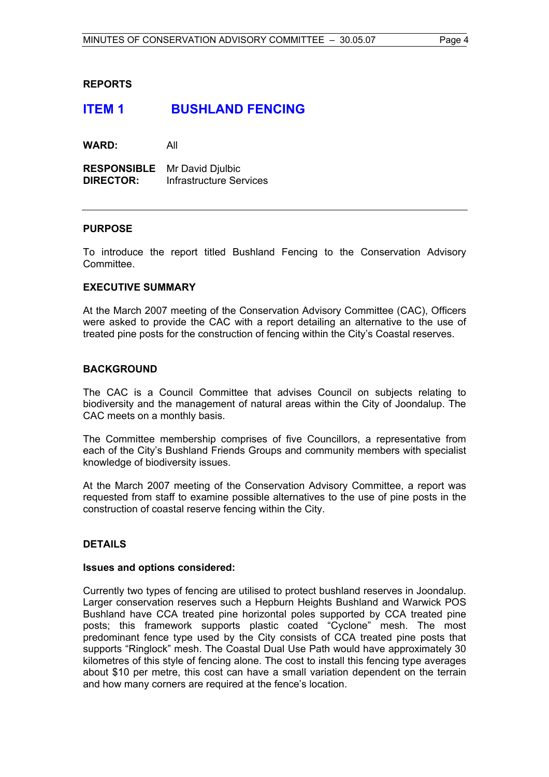#### **REPORTS**

## **ITEM 1 BUSHLAND FENCING**

**WARD:** All

**RESPONSIBLE** Mr David Djulbic **DIRECTOR:** Infrastructure Services

#### **PURPOSE**

To introduce the report titled Bushland Fencing to the Conservation Advisory Committee.

#### **EXECUTIVE SUMMARY**

At the March 2007 meeting of the Conservation Advisory Committee (CAC), Officers were asked to provide the CAC with a report detailing an alternative to the use of treated pine posts for the construction of fencing within the City's Coastal reserves.

#### **BACKGROUND**

The CAC is a Council Committee that advises Council on subjects relating to biodiversity and the management of natural areas within the City of Joondalup. The CAC meets on a monthly basis.

The Committee membership comprises of five Councillors, a representative from each of the City's Bushland Friends Groups and community members with specialist knowledge of biodiversity issues.

At the March 2007 meeting of the Conservation Advisory Committee, a report was requested from staff to examine possible alternatives to the use of pine posts in the construction of coastal reserve fencing within the City.

### **DETAILS**

#### **Issues and options considered:**

Currently two types of fencing are utilised to protect bushland reserves in Joondalup. Larger conservation reserves such a Hepburn Heights Bushland and Warwick POS Bushland have CCA treated pine horizontal poles supported by CCA treated pine posts; this framework supports plastic coated "Cyclone" mesh. The most predominant fence type used by the City consists of CCA treated pine posts that supports "Ringlock" mesh. The Coastal Dual Use Path would have approximately 30 kilometres of this style of fencing alone. The cost to install this fencing type averages about \$10 per metre, this cost can have a small variation dependent on the terrain and how many corners are required at the fence's location.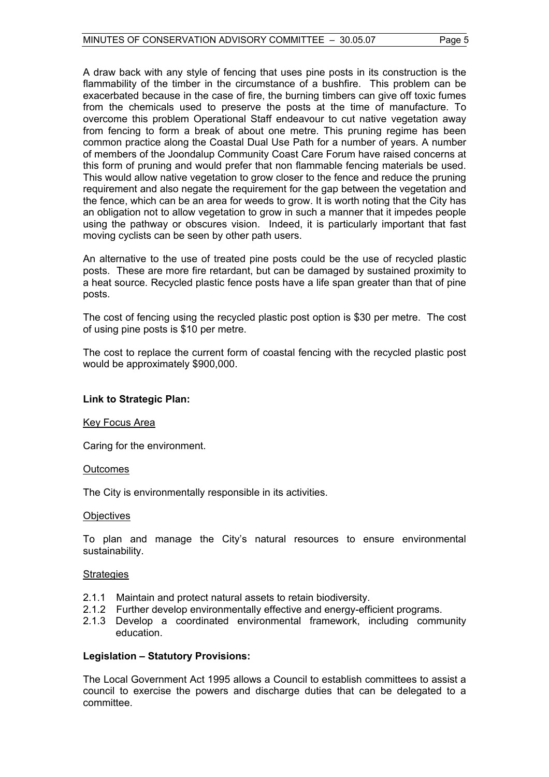A draw back with any style of fencing that uses pine posts in its construction is the flammability of the timber in the circumstance of a bushfire. This problem can be exacerbated because in the case of fire, the burning timbers can give off toxic fumes from the chemicals used to preserve the posts at the time of manufacture. To overcome this problem Operational Staff endeavour to cut native vegetation away from fencing to form a break of about one metre. This pruning regime has been common practice along the Coastal Dual Use Path for a number of years. A number of members of the Joondalup Community Coast Care Forum have raised concerns at this form of pruning and would prefer that non flammable fencing materials be used. This would allow native vegetation to grow closer to the fence and reduce the pruning requirement and also negate the requirement for the gap between the vegetation and the fence, which can be an area for weeds to grow. It is worth noting that the City has an obligation not to allow vegetation to grow in such a manner that it impedes people using the pathway or obscures vision. Indeed, it is particularly important that fast moving cyclists can be seen by other path users.

An alternative to the use of treated pine posts could be the use of recycled plastic posts. These are more fire retardant, but can be damaged by sustained proximity to a heat source. Recycled plastic fence posts have a life span greater than that of pine posts.

The cost of fencing using the recycled plastic post option is \$30 per metre. The cost of using pine posts is \$10 per metre.

The cost to replace the current form of coastal fencing with the recycled plastic post would be approximately \$900,000.

#### **Link to Strategic Plan:**

#### Key Focus Area

Caring for the environment.

#### **Outcomes**

The City is environmentally responsible in its activities.

#### **Objectives**

To plan and manage the City's natural resources to ensure environmental sustainability.

#### **Strategies**

- 2.1.1 Maintain and protect natural assets to retain biodiversity.
- 2.1.2 Further develop environmentally effective and energy-efficient programs.
- 2.1.3 Develop a coordinated environmental framework, including community education.

#### **Legislation – Statutory Provisions:**

The Local Government Act 1995 allows a Council to establish committees to assist a council to exercise the powers and discharge duties that can be delegated to a committee.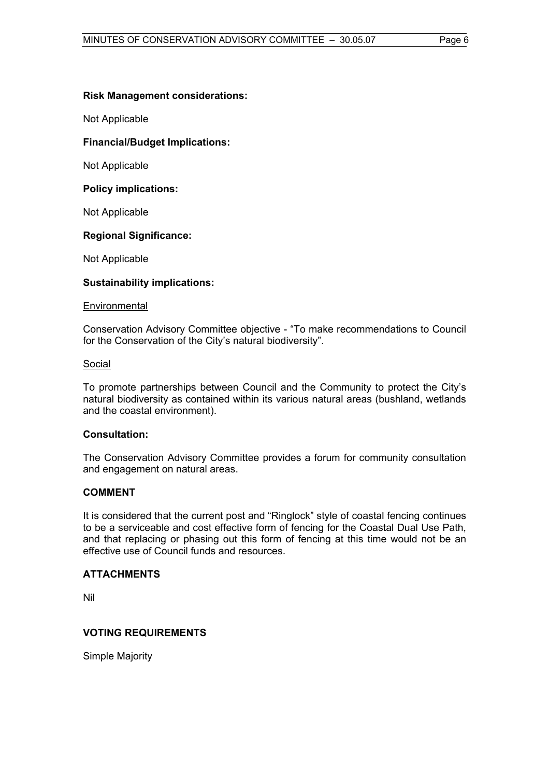#### **Risk Management considerations:**

Not Applicable

#### **Financial/Budget Implications:**

Not Applicable

**Policy implications:** 

Not Applicable

#### **Regional Significance:**

Not Applicable

#### **Sustainability implications:**

#### **Environmental**

Conservation Advisory Committee objective - "To make recommendations to Council for the Conservation of the City's natural biodiversity".

#### Social

To promote partnerships between Council and the Community to protect the City's natural biodiversity as contained within its various natural areas (bushland, wetlands and the coastal environment).

#### **Consultation:**

The Conservation Advisory Committee provides a forum for community consultation and engagement on natural areas.

#### **COMMENT**

It is considered that the current post and "Ringlock" style of coastal fencing continues to be a serviceable and cost effective form of fencing for the Coastal Dual Use Path, and that replacing or phasing out this form of fencing at this time would not be an effective use of Council funds and resources.

#### **ATTACHMENTS**

Nil

### **VOTING REQUIREMENTS**

Simple Majority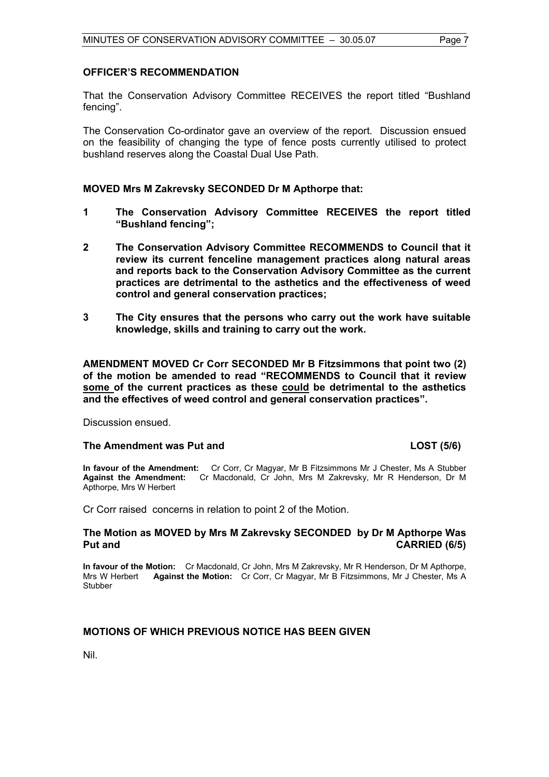#### **OFFICER'S RECOMMENDATION**

That the Conservation Advisory Committee RECEIVES the report titled "Bushland fencing".

The Conservation Co-ordinator gave an overview of the report. Discussion ensued on the feasibility of changing the type of fence posts currently utilised to protect bushland reserves along the Coastal Dual Use Path.

#### **MOVED Mrs M Zakrevsky SECONDED Dr M Apthorpe that:**

- **1 The Conservation Advisory Committee RECEIVES the report titled "Bushland fencing";**
- **2 The Conservation Advisory Committee RECOMMENDS to Council that it review its current fenceline management practices along natural areas and reports back to the Conservation Advisory Committee as the current practices are detrimental to the asthetics and the effectiveness of weed control and general conservation practices;**
- **3 The City ensures that the persons who carry out the work have suitable knowledge, skills and training to carry out the work.**

**AMENDMENT MOVED Cr Corr SECONDED Mr B Fitzsimmons that point two (2) of the motion be amended to read "RECOMMENDS to Council that it review some of the current practices as these could be detrimental to the asthetics and the effectives of weed control and general conservation practices".** 

Discussion ensued.

#### The Amendment was Put and **LOST** (5/6)

**In favour of the Amendment:** Cr Corr, Cr Magyar, Mr B Fitzsimmons Mr J Chester, Ms A Stubber **Against the Amendment:** Cr Macdonald, Cr John, Mrs M Zakrevsky, Mr R Henderson, Dr M Apthorpe, Mrs W Herbert

Cr Corr raised concerns in relation to point 2 of the Motion.

#### **The Motion as MOVED by Mrs M Zakrevsky SECONDED by Dr M Apthorpe Was Put and CARRIED (6/5)**

**In favour of the Motion:** Cr Macdonald, Cr John, Mrs M Zakrevsky, Mr R Henderson, Dr M Apthorpe, Mrs W Herbert **Against the Motion:** Cr Corr, Cr Magyar, Mr B Fitzsimmons, Mr J Chester, Ms A **Stubber** 

#### **MOTIONS OF WHICH PREVIOUS NOTICE HAS BEEN GIVEN**

Nil.